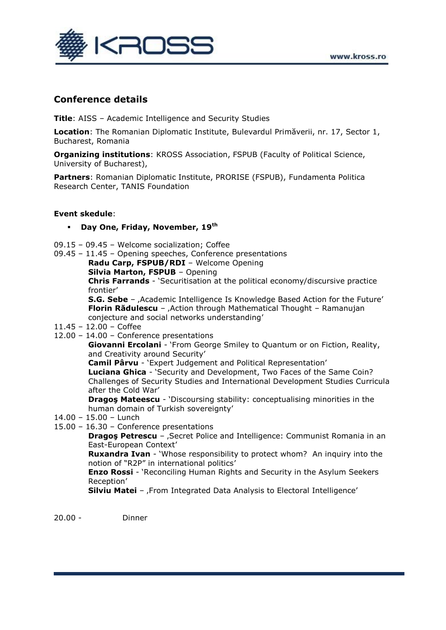

## **Conference details**

**Title**: AISS – Academic Intelligence and Security Studies

**Location**: The Romanian Diplomatic Institute, Bulevardul Primăverii, nr. 17, Sector 1, Bucharest, Romania

**Organizing institutions**: KROSS Association, FSPUB (Faculty of Political Science, University of Bucharest),

**Partners**: Romanian Diplomatic Institute, PRORISE (FSPUB), Fundamenta Politica Research Center, TANIS Foundation

## **Event skedule**:

- **Day One, Friday, November, 19th**
- 09.15 09.45 Welcome socialization; Coffee
- 09.45 11.45 Opening speeches, Conference presentations **Radu Carp, FSPUB/RDI** – Welcome Opening **Silvia Marton, FSPUB** – Opening **Chris Farrands** - "Securitisation at the political economy/discursive practice frontier"

**S.G. Sebe** – , Academic Intelligence Is Knowledge Based Action for the Future' **Florin Rădulescu** – , Action through Mathematical Thought – Ramanujan conjecture and social networks understanding"

## 11.45 – 12.00 – Coffee

12.00 – 14.00 – Conference presentations

**Giovanni Ercolani** - "From George Smiley to Quantum or on Fiction, Reality, and Creativity around Security"

**Camil Pârvu** - "Expert Judgement and Political Representation"

**Luciana Ghica** - "Security and Development, Two Faces of the Same Coin? Challenges of Security Studies and International Development Studies Curricula after the Cold War"

**Dragoş Mateescu** - "Discoursing stability: conceptualising minorities in the human domain of Turkish sovereignty"

- 14.00 15.00 Lunch
- 15.00 16.30 Conference presentations

**Dragos Petrescu** – , Secret Police and Intelligence: Communist Romania in an East-European Context"

**Ruxandra Ivan** - 'Whose responsibility to protect whom? An inquiry into the notion of "R2P" in international politics"

**Enzo Rossi** - "Reconciling Human Rights and Security in the Asylum Seekers Reception"

**Silviu Matei** - , From Integrated Data Analysis to Electoral Intelligence'

20.00 - Dinner